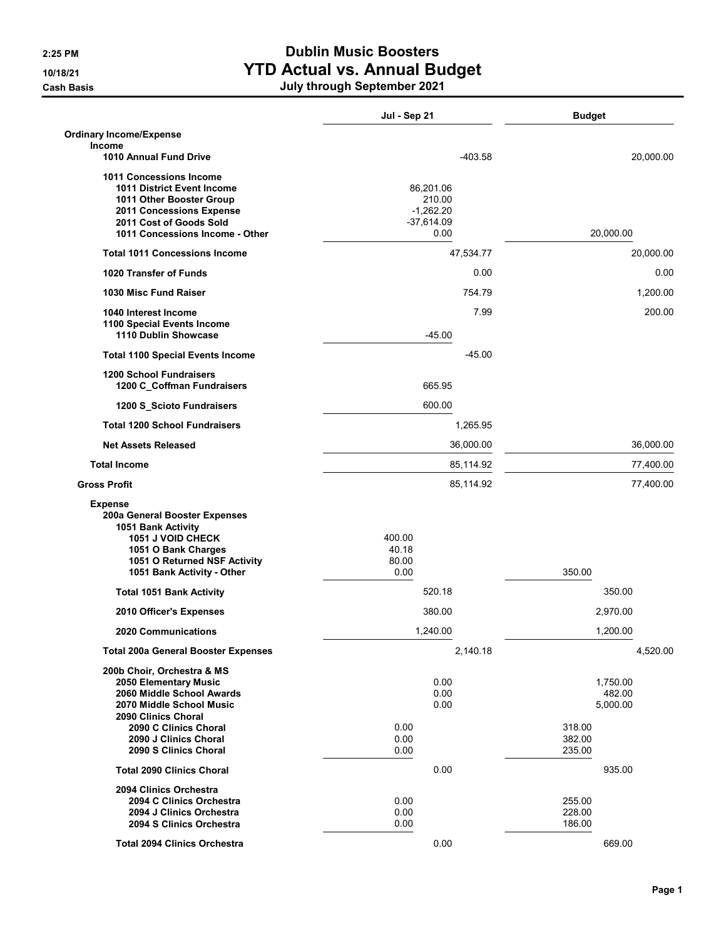## 2:25 PM Dublin Music Boosters 10/18/21 **10/18/21 YTD Actual vs. Annual Budget**

Cash Basis July through September 2021

|                                                                                                                                                                                           | Jul - Sep 21                                               | <b>Budget</b>                                      |
|-------------------------------------------------------------------------------------------------------------------------------------------------------------------------------------------|------------------------------------------------------------|----------------------------------------------------|
| <b>Ordinary Income/Expense</b><br>Income                                                                                                                                                  |                                                            |                                                    |
| 1010 Annual Fund Drive                                                                                                                                                                    | $-403.58$                                                  | 20,000.00                                          |
| <b>1011 Concessions Income</b><br><b>1011 District Event Income</b><br>1011 Other Booster Group<br>2011 Concessions Expense<br>2011 Cost of Goods Sold<br>1011 Concessions Income - Other | 86,201.06<br>210.00<br>$-1,262.20$<br>$-37,614.09$<br>0.00 | 20,000.00                                          |
| <b>Total 1011 Concessions Income</b>                                                                                                                                                      | 47,534.77                                                  | 20,000.00                                          |
| 1020 Transfer of Funds                                                                                                                                                                    | 0.00                                                       | 0.00                                               |
| 1030 Misc Fund Raiser                                                                                                                                                                     | 754.79                                                     | 1,200.00                                           |
| 1040 Interest Income<br>1100 Special Events Income<br>1110 Dublin Showcase                                                                                                                | 7.99<br>$-45.00$                                           | 200.00                                             |
| <b>Total 1100 Special Events Income</b>                                                                                                                                                   | $-45.00$                                                   |                                                    |
| <b>1200 School Fundraisers</b><br>1200 C_Coffman Fundraisers                                                                                                                              | 665.95                                                     |                                                    |
| 1200 S_Scioto Fundraisers                                                                                                                                                                 | 600.00                                                     |                                                    |
| <b>Total 1200 School Fundraisers</b>                                                                                                                                                      | 1,265.95                                                   |                                                    |
| <b>Net Assets Released</b>                                                                                                                                                                | 36,000.00                                                  | 36,000.00                                          |
| <b>Total Income</b>                                                                                                                                                                       | 85,114.92                                                  | 77,400.00                                          |
| <b>Gross Profit</b>                                                                                                                                                                       | 85,114.92                                                  | 77,400.00                                          |
| <b>Expense</b><br>200a General Booster Expenses<br>1051 Bank Activity<br>1051 J VOID CHECK<br>1051 O Bank Charges<br>1051 O Returned NSF Activity<br>1051 Bank Activity - Other           | 400.00<br>40.18<br>80.00<br>0.00                           | 350.00                                             |
| <b>Total 1051 Bank Activity</b>                                                                                                                                                           | 520.18                                                     | 350.00                                             |
| 2010 Officer's Expenses                                                                                                                                                                   | 380.00                                                     | 2,970.00                                           |
| <b>2020 Communications</b>                                                                                                                                                                | 1,240.00                                                   | 1,200.00                                           |
| <b>Total 200a General Booster Expenses</b>                                                                                                                                                | 2,140.18                                                   | 4,520.00                                           |
| 200b Choir, Orchestra & MS<br>2050 Elementary Music<br>2060 Middle School Awards<br>2070 Middle School Music<br>2090 Clinics Choral<br>2090 C Clinics Choral                              | 0.00<br>0.00<br>0.00<br>0.00<br>0.00                       | 1,750.00<br>482.00<br>5,000.00<br>318.00<br>382.00 |
| 2090 J Clinics Choral<br>2090 S Clinics Choral                                                                                                                                            | 0.00                                                       | 235.00                                             |
| <b>Total 2090 Clinics Choral</b>                                                                                                                                                          | 0.00                                                       | 935.00                                             |
| 2094 Clinics Orchestra<br>2094 C Clinics Orchestra<br>2094 J Clinics Orchestra<br>2094 S Clinics Orchestra                                                                                | 0.00<br>0.00<br>0.00                                       | 255.00<br>228.00<br>186.00                         |
| <b>Total 2094 Clinics Orchestra</b>                                                                                                                                                       | 0.00                                                       | 669.00                                             |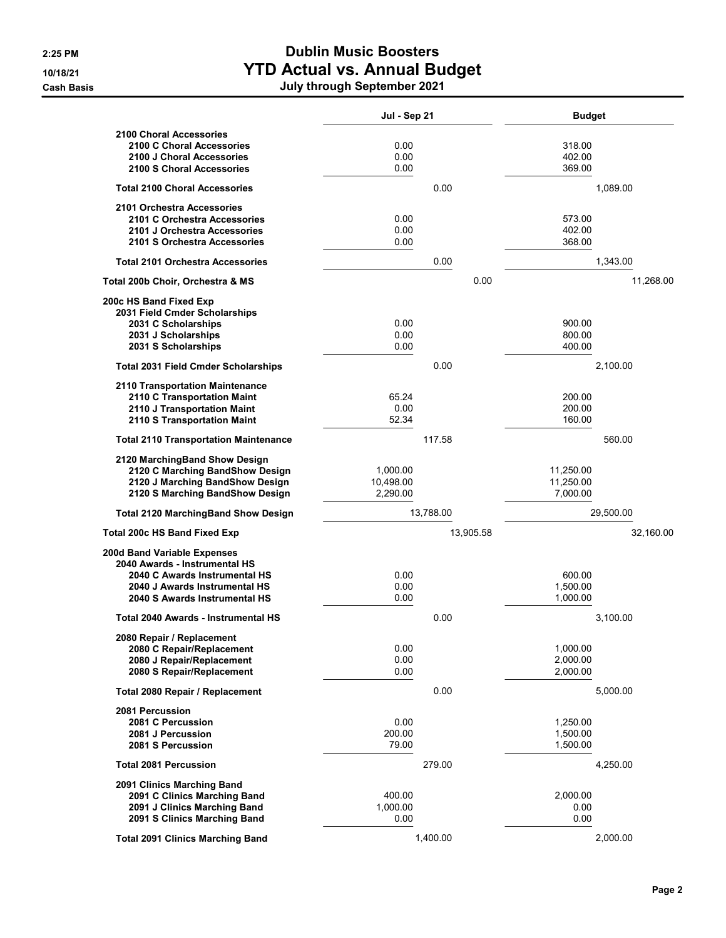**Cash Basis** 

## 2:25 PM Dublin Music Boosters 10/18/21 YTD Actual vs. Annual Budget

|                                                                                                                                                                 | Jul - Sep 21                      |           | <b>Budget</b>                      |           |
|-----------------------------------------------------------------------------------------------------------------------------------------------------------------|-----------------------------------|-----------|------------------------------------|-----------|
| <b>2100 Choral Accessories</b><br>2100 C Choral Accessories<br>2100 J Choral Accessories<br>2100 S Choral Accessories                                           | 0.00<br>0.00<br>0.00              |           | 318.00<br>402.00<br>369.00         |           |
| <b>Total 2100 Choral Accessories</b>                                                                                                                            |                                   | 0.00      |                                    | 1,089.00  |
| 2101 Orchestra Accessories<br>2101 C Orchestra Accessories<br>2101 J Orchestra Accessories<br>2101 S Orchestra Accessories                                      | 0.00<br>0.00<br>0.00              |           | 573.00<br>402.00<br>368.00         |           |
| <b>Total 2101 Orchestra Accessories</b>                                                                                                                         |                                   | 0.00      |                                    | 1,343.00  |
| Total 200b Choir, Orchestra & MS                                                                                                                                |                                   | 0.00      |                                    | 11,268.00 |
| 200c HS Band Fixed Exp<br>2031 Field Cmder Scholarships<br>2031 C Scholarships<br>2031 J Scholarships<br>2031 S Scholarships                                    | 0.00<br>0.00<br>0.00              |           | 900.00<br>800.00<br>400.00         |           |
| <b>Total 2031 Field Cmder Scholarships</b>                                                                                                                      |                                   | 0.00      |                                    | 2,100.00  |
| 2110 Transportation Maintenance<br>2110 C Transportation Maint<br>2110 J Transportation Maint<br>2110 S Transportation Maint                                    | 65.24<br>0.00<br>52.34            |           | 200.00<br>200.00<br>160.00         |           |
| <b>Total 2110 Transportation Maintenance</b>                                                                                                                    |                                   | 117.58    |                                    | 560.00    |
| 2120 MarchingBand Show Design<br>2120 C Marching BandShow Design<br>2120 J Marching BandShow Design<br>2120 S Marching BandShow Design                          | 1,000.00<br>10,498.00<br>2,290.00 |           | 11,250.00<br>11,250.00<br>7,000.00 |           |
| <b>Total 2120 MarchingBand Show Design</b>                                                                                                                      |                                   | 13,788.00 |                                    | 29,500.00 |
| Total 200c HS Band Fixed Exp                                                                                                                                    |                                   | 13,905.58 |                                    | 32,160.00 |
| 200d Band Variable Expenses<br>2040 Awards - Instrumental HS<br>2040 C Awards Instrumental HS<br>2040 J Awards Instrumental HS<br>2040 S Awards Instrumental HS | 0.00<br>0.00<br>0.00              |           | 600.00<br>1,500.00<br>1,000.00     |           |
| Total 2040 Awards - Instrumental HS                                                                                                                             |                                   | 0.00      |                                    | 3,100.00  |
| 2080 Repair / Replacement<br>2080 C Repair/Replacement<br>2080 J Repair/Replacement<br>2080 S Repair/Replacement                                                | 0.00<br>0.00<br>0.00              |           | 1,000.00<br>2.000.00<br>2,000.00   |           |
| Total 2080 Repair / Replacement                                                                                                                                 |                                   | 0.00      |                                    | 5,000.00  |
| 2081 Percussion<br>2081 C Percussion<br>2081 J Percussion<br>2081 S Percussion                                                                                  | 0.00<br>200.00<br>79.00           |           | 1,250.00<br>1,500.00<br>1,500.00   |           |
| <b>Total 2081 Percussion</b>                                                                                                                                    |                                   | 279.00    |                                    | 4,250.00  |
| 2091 Clinics Marching Band<br>2091 C Clinics Marching Band<br>2091 J Clinics Marching Band<br>2091 S Clinics Marching Band                                      | 400.00<br>1,000.00<br>0.00        |           | 2,000.00<br>0.00<br>0.00           |           |
| <b>Total 2091 Clinics Marching Band</b>                                                                                                                         |                                   | 1,400.00  |                                    | 2,000.00  |